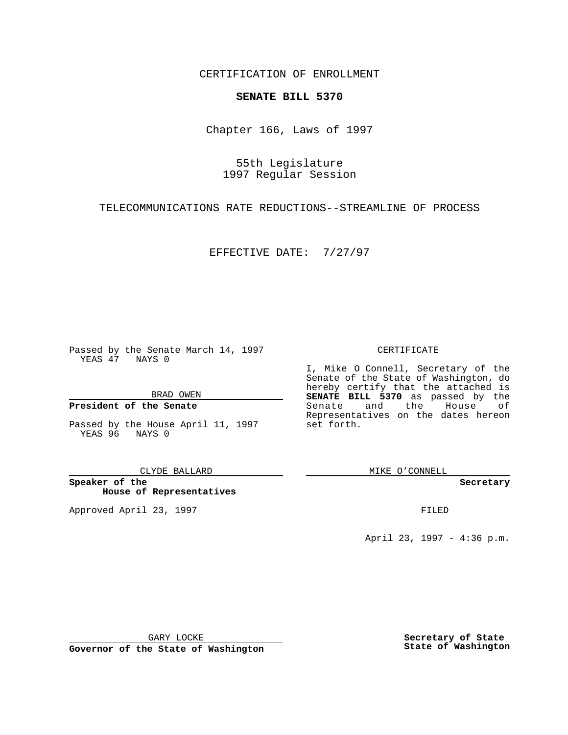CERTIFICATION OF ENROLLMENT

# **SENATE BILL 5370**

Chapter 166, Laws of 1997

55th Legislature 1997 Regular Session

TELECOMMUNICATIONS RATE REDUCTIONS--STREAMLINE OF PROCESS

EFFECTIVE DATE: 7/27/97

Passed by the Senate March 14, 1997 YEAS 47 NAYS 0

BRAD OWEN

## **President of the Senate**

Passed by the House April 11, 1997 YEAS 96 NAYS 0

CLYDE BALLARD

**Speaker of the House of Representatives**

Approved April 23, 1997 **FILED** 

### CERTIFICATE

I, Mike O Connell, Secretary of the Senate of the State of Washington, do hereby certify that the attached is **SENATE BILL 5370** as passed by the Senate and the House of Representatives on the dates hereon set forth.

MIKE O'CONNELL

#### **Secretary**

April 23, 1997 - 4:36 p.m.

GARY LOCKE

**Governor of the State of Washington**

**Secretary of State State of Washington**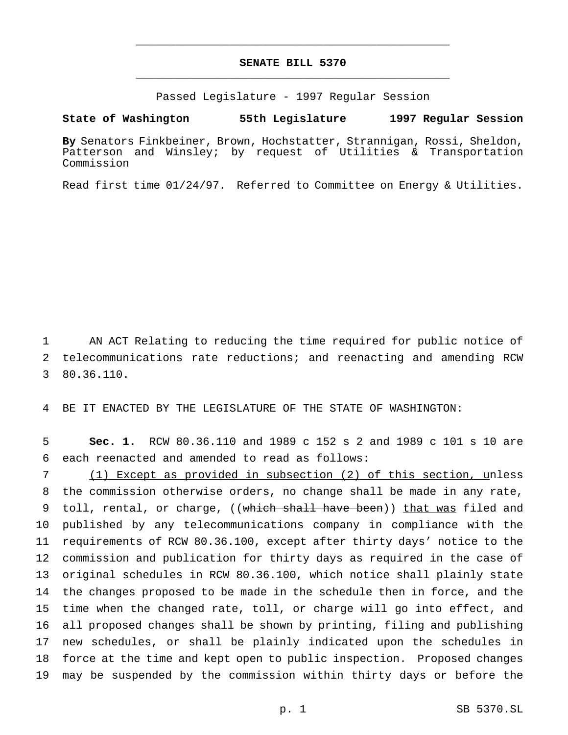# **SENATE BILL 5370** \_\_\_\_\_\_\_\_\_\_\_\_\_\_\_\_\_\_\_\_\_\_\_\_\_\_\_\_\_\_\_\_\_\_\_\_\_\_\_\_\_\_\_\_\_\_\_

\_\_\_\_\_\_\_\_\_\_\_\_\_\_\_\_\_\_\_\_\_\_\_\_\_\_\_\_\_\_\_\_\_\_\_\_\_\_\_\_\_\_\_\_\_\_\_

Passed Legislature - 1997 Regular Session

### **State of Washington 55th Legislature 1997 Regular Session**

**By** Senators Finkbeiner, Brown, Hochstatter, Strannigan, Rossi, Sheldon, Patterson and Winsley; by request of Utilities & Transportation Commission

Read first time 01/24/97. Referred to Committee on Energy & Utilities.

 AN ACT Relating to reducing the time required for public notice of telecommunications rate reductions; and reenacting and amending RCW 80.36.110.

BE IT ENACTED BY THE LEGISLATURE OF THE STATE OF WASHINGTON:

 **Sec. 1.** RCW 80.36.110 and 1989 c 152 s 2 and 1989 c 101 s 10 are each reenacted and amended to read as follows:

 (1) Except as provided in subsection (2) of this section, unless the commission otherwise orders, no change shall be made in any rate, 9 toll, rental, or charge, ((which shall have been)) that was filed and published by any telecommunications company in compliance with the requirements of RCW 80.36.100, except after thirty days' notice to the commission and publication for thirty days as required in the case of original schedules in RCW 80.36.100, which notice shall plainly state the changes proposed to be made in the schedule then in force, and the time when the changed rate, toll, or charge will go into effect, and all proposed changes shall be shown by printing, filing and publishing new schedules, or shall be plainly indicated upon the schedules in force at the time and kept open to public inspection. Proposed changes may be suspended by the commission within thirty days or before the